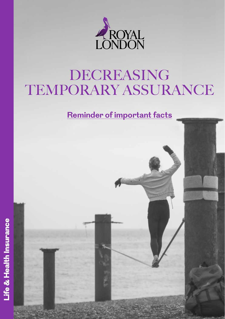

# DECREASING TEMPORARY ASSURANCE

**Reminder of important facts**



Life & Health Insurance

Life & Health Insurance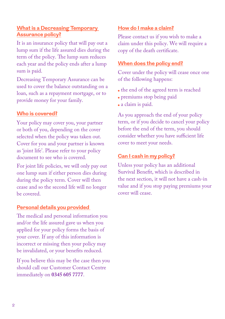#### **What is a Decreasing Temporary Assurance policy?**

It is an insurance policy that will pay out a lump sum if the life assured dies during the term of the policy. The lump sum reduces each year and the policy ends after a lump sum is paid.

Decreasing Temporary Assurance can be used to cover the balance outstanding on a loan, such as a repayment mortgage, or to provide money for your family.

#### **Who is covered?**

Your policy may cover you, your partner or both of you, depending on the cover selected when the policy was taken out. Cover for you and your partner is known as 'joint life'. Please refer to your policy document to see who is covered.

For joint life policies, we will only pay out one lump sum if either person dies during during the policy term. Cover will then cease and so the second life will no longer be covered.

#### **Personal details you provided**

The medical and personal information you and/or the life assured gave us when you applied for your policy forms the basis of your cover. If any of this information is incorrect or missing then your policy may be invalidated, or your benefits reduced.

If you believe this may be the case then you should call our Customer Contact Centre immediately on **0345 605 7777**.

#### **How do I make a claim?**

Please contact us if you wish to make a claim under this policy. We will require a copy of the death certificate.

#### **When does the policy end?**

Cover under the policy will cease once one of the following happens:

- the end of the agreed term is reached
- premiums stop being paid
- a claim is paid.

As you approach the end of your policy term, or if you decide to cancel your policy before the end of the term, you should consider whether you have sufficient life cover to meet your needs.

#### **Can I cash in my policy?**

Unless your policy has an additional Survival Benefit, which is described in the next section, it will not have a cash-in value and if you stop paying premiums your cover will cease.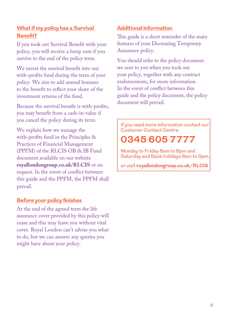#### **What if my policy has a Survival Benefit?**

If you took out Survival Benefit with your policy, you will receive a lump sum if you survive to the end of the policy term.

We invest the survival benefit into our with-profits fund during the term of your policy. We aim to add annual bonuses to the benefit to reflect your share of the investment returns of the fund.

Because the survival benefit is with-profits, you may benefit from a cash-in-value if you cancel the policy during its term.

We explain how we manage the with-profits fund in the Principles & Practices of Financial Management (PPFM) of the RLCIS OB & IB Fund document available on our website **[royallondongroup.co.uk/RLCIS](http://www.royallondongroup.co.uk/RLCIS)** or on request. In the event of conflict between this guide and the PPFM, the PPFM shall prevail.

#### **Before your policy finishes**

At the end of the agreed term the life assurance cover provided by this policy will cease and this may leave you without vital cover. Royal London can't advise you what to do, but we can answer any queries you might have about your policy.

#### **Additional information**

This guide is a short reminder of the main features of your Decreasing Temporary Assurance policy.

You should refer to the policy document we sent to you when you took out your policy, together with any contract endorsements, for more information. In the event of conflict between this guide and the policy document, the policy document will prevail.

If you need more information contact our Customer Contact Centre

## **0345 605 7777**

Monday to Friday 8am to 8pm and Saturday and Bank holidays 8am to 5pm.

or visit **[royallondongroup.co.uk/RLCIS](http://www.royallondongroup.co.uk/RLCIS)**